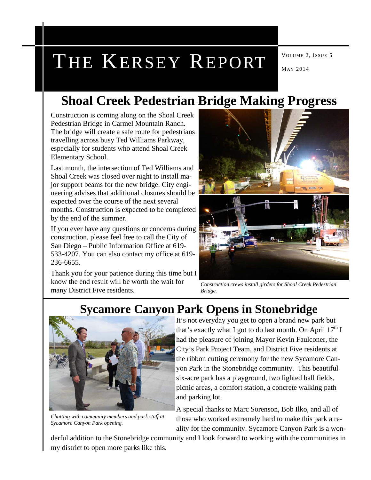# THE KERSEY REPORT MAY 2014

### **Shoal Creek Pedestrian Bridge Making Progress**

Construction is coming along on the Shoal Creek Pedestrian Bridge in Carmel Mountain Ranch. The bridge will create a safe route for pedestrians travelling across busy Ted Williams Parkway, especially for students who attend Shoal Creek Elementary School.

Last month, the intersection of Ted Williams and Shoal Creek was closed over night to install major support beams for the new bridge. City engineering advises that additional closures should be expected over the course of the next several months. Construction is expected to be completed by the end of the summer.

If you ever have any questions or concerns during construction, please feel free to call the City of San Diego – Public Information Office at 619- 533-4207. You can also contact my office at 619- 236-6655.

Thank you for your patience during this time but I know the end result will be worth the wait for many District Five residents.



*Construction crews install girders for Shoal Creek Pedestrian Bridge.* 

### **Sycamore Canyon Park Opens in Stonebridge**



*Chatting with community members and park staff at Sycamore Canyon Park opening.* 

It's not everyday you get to open a brand new park but that's exactly what I got to do last month. On April  $17<sup>th</sup>$  I had the pleasure of joining Mayor Kevin Faulconer, the City's Park Project Team, and District Five residents at the ribbon cutting ceremony for the new Sycamore Canyon Park in the Stonebridge community. This beautiful six-acre park has a playground, two lighted ball fields, picnic areas, a comfort station, a concrete walking path and parking lot.

A special thanks to Marc Sorenson, Bob Ilko, and all of those who worked extremely hard to make this park a reality for the community. Sycamore Canyon Park is a won-

derful addition to the Stonebridge community and I look forward to working with the communities in my district to open more parks like this.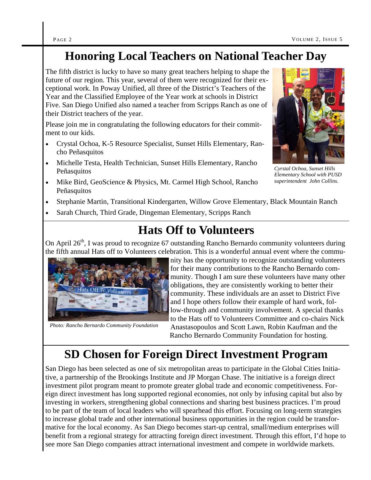### **Honoring Local Teachers on National Teacher Day**

The fifth district is lucky to have so many great teachers helping to shape the future of our region. This year, several of them were recognized for their exceptional work. In Poway Unified, all three of the District's Teachers of the Year and the Classified Employee of the Year work at schools in District Five. San Diego Unified also named a teacher from Scripps Ranch as one of their District teachers of the year.

Please join me in congratulating the following educators for their commitment to our kids.

- Crystal Ochoa, K-5 Resource Specialist, Sunset Hills Elementary, Rancho Peñasquitos
- Michelle Testa, Health Technician, Sunset Hills Elementary, Rancho Peñasquitos
- Mike Bird, GeoScience & Physics, Mt. Carmel High School, Rancho Peñasquitos
- Stephanie Martin, Transitional Kindergarten, Willow Grove Elementary, Black Mountain Ranch
- Sarah Church, Third Grade, Dingeman Elementary, Scripps Ranch

### **Hats Off to Volunteers**

On April 26<sup>th</sup>, I was proud to recognize 67 outstanding Rancho Bernardo community volunteers during the fifth annual Hats off to Volunteers celebration. This is a wonderful annual event where the commu-



*Photo: Rancho Bernardo Community Foundation* 

nity has the opportunity to recognize outstanding volunteers for their many contributions to the Rancho Bernardo community. Though I am sure these volunteers have many other obligations, they are consistently working to better their community. These individuals are an asset to District Five and I hope others follow their example of hard work, follow-through and community involvement. A special thanks to the Hats off to Volunteers Committee and co-chairs Nick Anastasopoulos and Scott Lawn, Robin Kaufman and the Rancho Bernardo Community Foundation for hosting.

### **SD Chosen for Foreign Direct Investment Program**

San Diego has been selected as one of six metropolitan areas to participate in the Global Cities Initiative, a partnership of the Brookings Institute and JP Morgan Chase. The initiative is a foreign direct investment pilot program meant to promote greater global trade and economic competitiveness. Foreign direct investment has long supported regional economies, not only by infusing capital but also by investing in workers, strengthening global connections and sharing best business practices. I'm proud to be part of the team of local leaders who will spearhead this effort. Focusing on long-term strategies to increase global trade and other international business opportunities in the region could be transformative for the local economy. As San Diego becomes start-up central, small/medium enterprises will benefit from a regional strategy for attracting foreign direct investment. Through this effort, I'd hope to see more San Diego companies attract international investment and compete in worldwide markets.



*Cyrstal Ochoa, Sunset Hills Elementary School with PUSD superintendent John Collins.*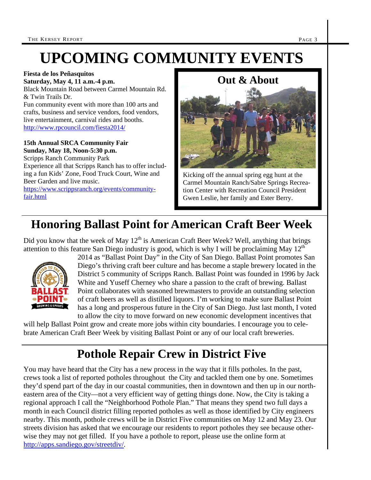## **UPCOMING COMMUNITY EVENTS**

#### **Fiesta de los Peñasquitos**

**Saturday, May 4, 11 a.m.-4 p.m.**  Black Mountain Road between Carmel Mountain Rd. & Twin Trails Dr.

Fun community event with more than 100 arts and crafts, business and service vendors, food vendors, live entertainment, carnival rides and booths. http://www.rpcouncil.com/fiesta2014/

#### **15th Annual SRCA Community Fair Sunday, May 18, Noon-5:30 p.m.**

Scripps Ranch Community Park Experience all that Scripps Ranch has to offer including a fun Kids' Zone, Food Truck Court, Wine and Beer Garden and live music.

https://www.scrippsranch.org/events/communityfair.html

#### **Out & About**



Kicking off the annual spring egg hunt at the Carmel Mountain Ranch/Sabre Springs Recreation Center with Recreation Council President Gwen Leslie, her family and Ester Berry.

### **Honoring Ballast Point for American Craft Beer Week**

Did you know that the week of May  $12<sup>th</sup>$  is American Craft Beer Week? Well, anything that brings attention to this feature San Diego industry is good, which is why I will be proclaiming May  $12<sup>th</sup>$ 



2014 as "Ballast Point Day" in the City of San Diego. Ballast Point promotes San Diego's thriving craft beer culture and has become a staple brewery located in the District 5 community of Scripps Ranch. Ballast Point was founded in 1996 by Jack White and Yuseff Cherney who share a passion to the craft of brewing. Ballast Point collaborates with seasoned brewmasters to provide an outstanding selection of craft beers as well as distilled liquors. I'm working to make sure Ballast Point has a long and prosperous future in the City of San Diego. Just last month, I voted to allow the city to move forward on new economic development incentives that

will help Ballast Point grow and create more jobs within city boundaries. I encourage you to celebrate American Craft Beer Week by visiting Ballast Point or any of our local craft breweries.

### **Pothole Repair Crew in District Five**

You may have heard that the City has a new process in the way that it fills potholes. In the past, crews took a list of reported potholes throughout the City and tackled them one by one. Sometimes they'd spend part of the day in our coastal communities, then in downtown and then up in our northeastern area of the City—not a very efficient way of getting things done. Now, the City is taking a regional approach I call the "Neighborhood Pothole Plan." That means they spend two full days a month in each Council district filling reported potholes as well as those identified by City engineers nearby. This month, pothole crews will be in District Five communities on May 12 and May 23. Our streets division has asked that we encourage our residents to report potholes they see because otherwise they may not get filled. If you have a pothole to report, please use the online form at http://apps.sandiego.gov/streetdiv/.